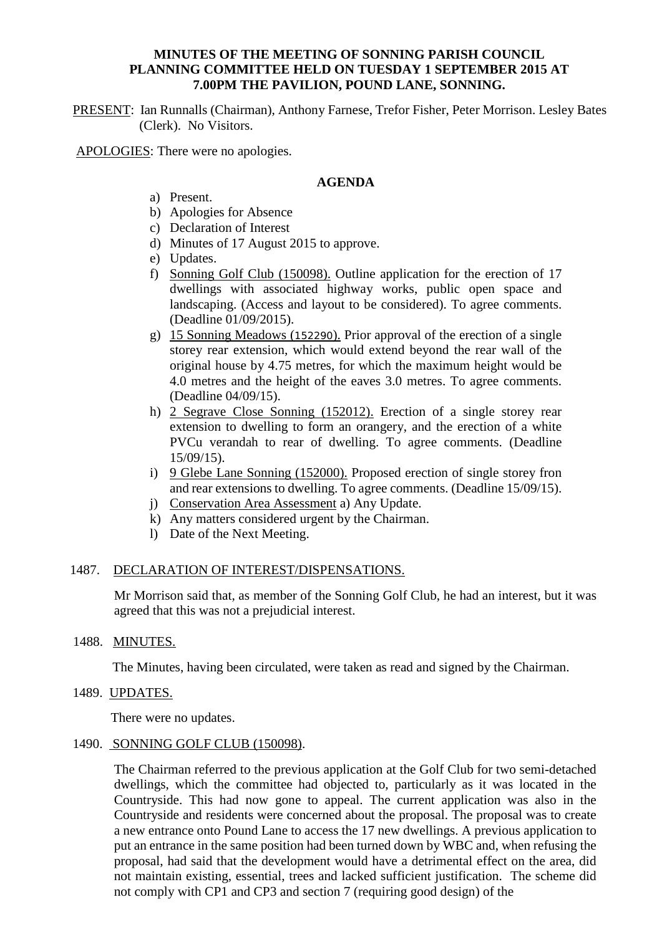## **MINUTES OF THE MEETING OF SONNING PARISH COUNCIL PLANNING COMMITTEE HELD ON TUESDAY 1 SEPTEMBER 2015 AT 7.00PM THE PAVILION, POUND LANE, SONNING.**

PRESENT: Ian Runnalls (Chairman), Anthony Farnese, Trefor Fisher, Peter Morrison. Lesley Bates (Clerk). No Visitors.

APOLOGIES: There were no apologies.

#### **AGENDA**

- a) Present.
- b) Apologies for Absence
- c) Declaration of Interest
- d) Minutes of 17 August 2015 to approve.
- e) Updates.
- f) Sonning Golf Club (150098). Outline application for the erection of 17 dwellings with associated highway works, public open space and landscaping. (Access and layout to be considered). To agree comments. (Deadline 01/09/2015).
- g) 15 Sonning Meadows (152290). Prior approval of the erection of a single storey rear extension, which would extend beyond the rear wall of the original house by 4.75 metres, for which the maximum height would be 4.0 metres and the height of the eaves 3.0 metres. To agree comments. (Deadline 04/09/15).
- h) 2 Segrave Close Sonning (152012). Erection of a single storey rear extension to dwelling to form an orangery, and the erection of a white PVCu verandah to rear of dwelling. To agree comments. (Deadline 15/09/15).
- i) 9 Glebe Lane Sonning (152000). Proposed erection of single storey fron and rear extensions to dwelling. To agree comments. (Deadline 15/09/15).
- j) Conservation Area Assessment a) Any Update.
- k) Any matters considered urgent by the Chairman.
- l) Date of the Next Meeting.

## 1487. DECLARATION OF INTEREST/DISPENSATIONS.

Mr Morrison said that, as member of the Sonning Golf Club, he had an interest, but it was agreed that this was not a prejudicial interest.

1488. MINUTES.

The Minutes, having been circulated, were taken as read and signed by the Chairman.

1489. UPDATES.

There were no updates.

#### 1490. SONNING GOLF CLUB (150098).

The Chairman referred to the previous application at the Golf Club for two semi-detached dwellings, which the committee had objected to, particularly as it was located in the Countryside. This had now gone to appeal. The current application was also in the Countryside and residents were concerned about the proposal. The proposal was to create a new entrance onto Pound Lane to access the 17 new dwellings. A previous application to put an entrance in the same position had been turned down by WBC and, when refusing the proposal, had said that the development would have a detrimental effect on the area, did not maintain existing, essential, trees and lacked sufficient justification. The scheme did not comply with CP1 and CP3 and section 7 (requiring good design) of the